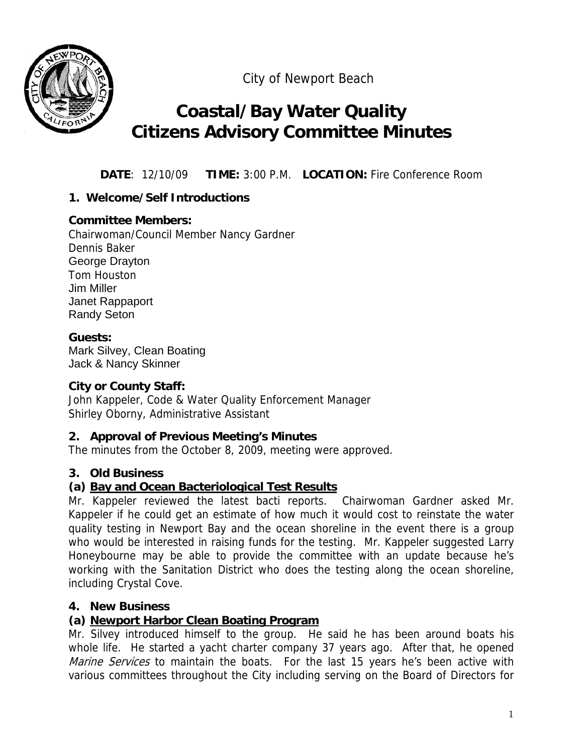

City of Newport Beach

## **Coastal/Bay Water Quality Citizens Advisory Committee Minutes**

**DATE**: 12/10/09 **TIME:** 3:00 P.M. **LOCATION:** Fire Conference Room

## **1. Welcome/Self Introductions**

## **Committee Members:**

Chairwoman/Council Member Nancy Gardner Dennis Baker George Drayton Tom Houston Jim Miller Janet Rappaport Randy Seton

## **Guests:**

Mark Silvey, Clean Boating Jack & Nancy Skinner

## **City or County Staff:**

John Kappeler, Code & Water Quality Enforcement Manager Shirley Oborny, Administrative Assistant

## **2. Approval of Previous Meeting's Minutes**

The minutes from the October 8, 2009, meeting were approved.

## **3. Old Business**

## **(a) Bay and Ocean Bacteriological Test Results**

Mr. Kappeler reviewed the latest bacti reports. Chairwoman Gardner asked Mr. Kappeler if he could get an estimate of how much it would cost to reinstate the water quality testing in Newport Bay and the ocean shoreline in the event there is a group who would be interested in raising funds for the testing. Mr. Kappeler suggested Larry Honeybourne may be able to provide the committee with an update because he's working with the Sanitation District who does the testing along the ocean shoreline, including Crystal Cove.

## **4. New Business**

## **(a) Newport Harbor Clean Boating Program**

Mr. Silvey introduced himself to the group. He said he has been around boats his whole life. He started a yacht charter company 37 years ago. After that, he opened Marine Services to maintain the boats. For the last 15 years he's been active with various committees throughout the City including serving on the Board of Directors for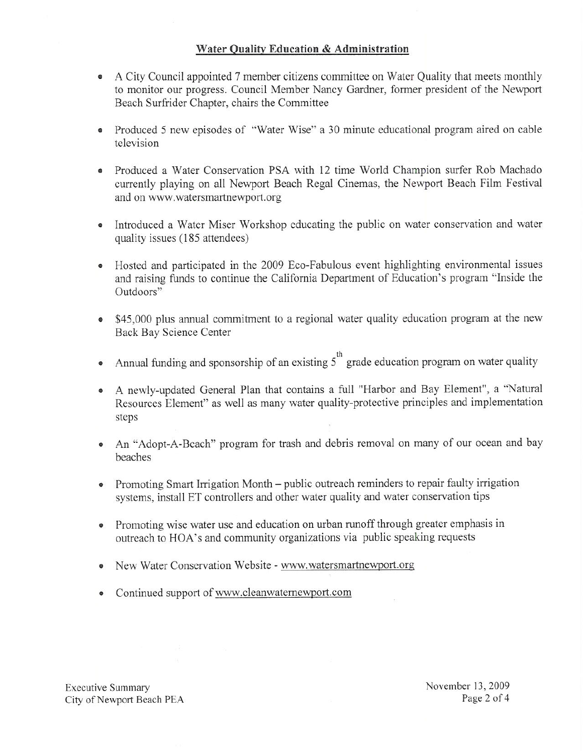#### Water Quality Education & Administration

- A City Council appointed 7 member citizens committee on Water Quality that meets monthly to monitor our progress. Council Member Nancy Gardner, former president of the Newport Beach Surfrider Chapter, chairs the Committee
- Produced 5 new episodes of "Water Wise" a 30 minute educational program aired on cable television
- Produced a Water Conservation PSA with 12 time World Champion surfer Rob Machado currently playing on all Newport Beach Regal Cinemas, the Newport Beach Film Festival and on www.watersmartnewport.org
- Introduced a Water Miser Workshop educating the public on water conservation and water quality issues (185 attendees)
- Hosted and participated in the 2009 Eco-Fabulous event highlighting environmental issues and raising funds to continue the California Department of Education's program "Inside the Outdoors"
- \$45,000 plus annual commitment to a regional water quality education program at the new Back Bay Science Center
- Annual funding and sponsorship of an existing  $5<sup>th</sup>$  grade education program on water quality  $\bullet$
- A newly-updated General Plan that contains a full "Harbor and Bay Element", a "Natural Resources Element" as well as many water quality-protective principles and implementation steps
- An "Adopt-A-Beach" program for trash and debris removal on many of our ocean and bay beaches
- Promoting Smart Irrigation Month public outreach reminders to repair faulty irrigation systems, install ET controllers and other water quality and water conservation tips
- Promoting wise water use and education on urban runoff through greater emphasis in outreach to HOA's and community organizations via public speaking requests
- New Water Conservation Website www.watersmartnewport.org
- Continued support of www.cleanwaternewport.com

**Executive Summary** City of Newport Beach PEA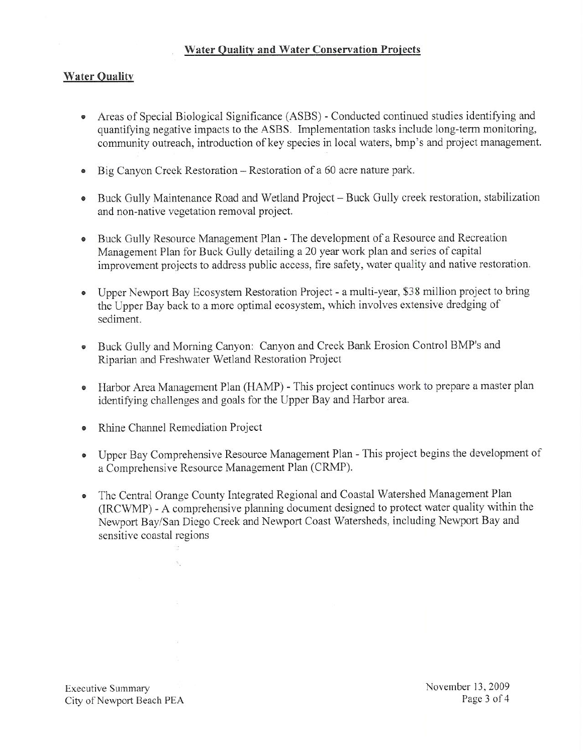#### **Water Quality and Water Conservation Projects**

#### **Water Quality**

- Areas of Special Biological Significance (ASBS) Conducted continued studies identifying and quantifying negative impacts to the ASBS. Implementation tasks include long-term monitoring, community outreach, introduction of key species in local waters, bmp's and project management.
- Big Canyon Creek Restoration Restoration of a 60 acre nature park.
- Buck Gully Maintenance Road and Wetland Project Buck Gully creek restoration, stabilization and non-native vegetation removal project.
- Buck Gully Resource Management Plan The development of a Resource and Recreation Management Plan for Buck Gully detailing a 20 year work plan and series of capital improvement projects to address public access, fire safety, water quality and native restoration.
- Upper Newport Bay Ecosystem Restoration Project a multi-year, \$38 million project to bring the Upper Bay back to a more optimal ecosystem, which involves extensive dredging of sediment.
- Buck Gully and Morning Canyon: Canyon and Creek Bank Erosion Control BMP's and Riparian and Freshwater Wetland Restoration Project
- Harbor Area Management Plan (HAMP) This project continues work to prepare a master plan identifying challenges and goals for the Upper Bay and Harbor area.
- Rhine Channel Remediation Project  $\bullet$

 $\lambda_{\rm c}$ 

- Upper Bay Comprehensive Resource Management Plan This project begins the development of a Comprehensive Resource Management Plan (CRMP).
- The Central Orange County Integrated Regional and Coastal Watershed Management Plan  $\bullet$ (IRCWMP) - A comprehensive planning document designed to protect water quality within the Newport Bay/San Diego Creek and Newport Coast Watersheds, including Newport Bay and sensitive coastal regions

**Executive Summary** City of Newport Beach PEA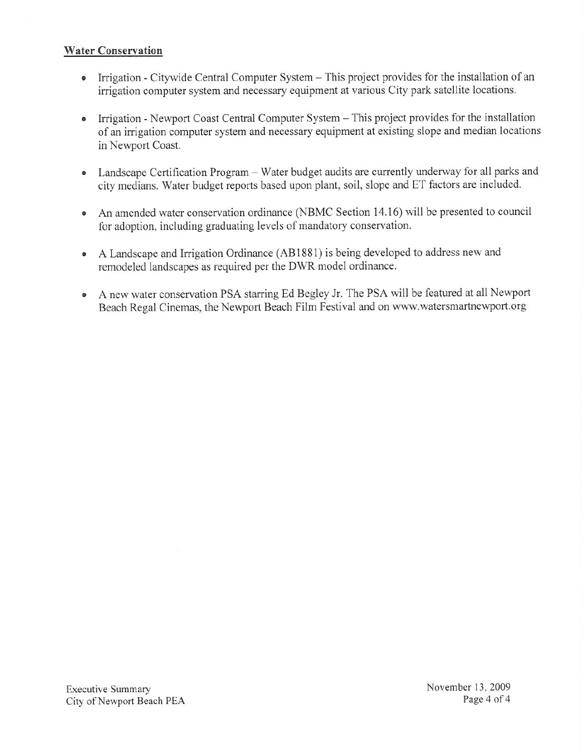#### **Water Conservation**

- Irrigation Citywide Central Computer System This project provides for the installation of an irrigation computer system and necessary equipment at various City park satellite locations.
- Irrigation Newport Coast Central Computer System This project provides for the installation  $\bullet$ of an irrigation computer system and necessary equipment at existing slope and median locations in Newport Coast.
- Landscape Certification Program Water budget audits are currently underway for all parks and city medians. Water budget reports based upon plant, soil, slope and ET factors are included.
- An amended water conservation ordinance (NBMC Section 14.16) will be presented to council  $\bullet$ for adoption, including graduating levels of mandatory conservation.
- A Landscape and Irrigation Ordinance (AB1881) is being developed to address new and  $\bullet$ remodeled landscapes as required per the DWR model ordinance.
- A new water conservation PSA starring Ed Begley Jr. The PSA will be featured at all Newport  $\bullet$ Beach Regal Cinemas, the Newport Beach Film Festival and on www.watersmartnewport.org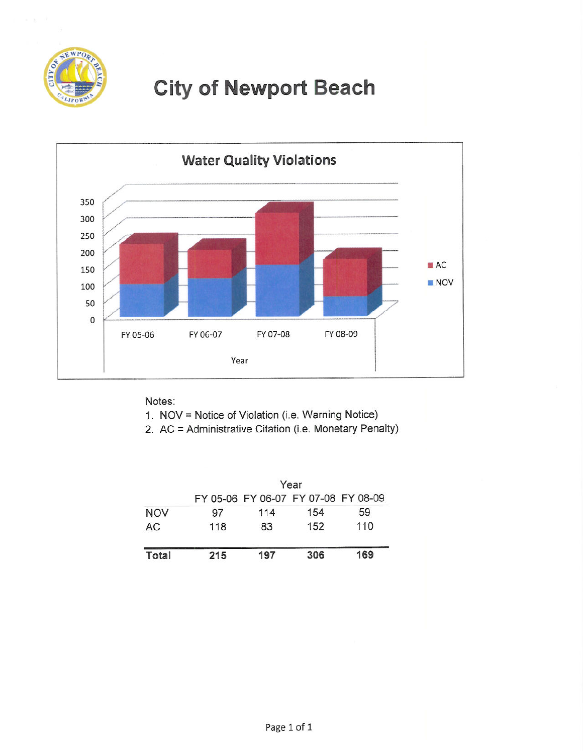

# **City of Newport Beach**



Notes:

- 1. NOV = Notice of Violation (i.e. Warning Notice)
- 2. AC = Administrative Citation (i.e. Monetary Penalty)

|            | Year |     |                                     |     |
|------------|------|-----|-------------------------------------|-----|
|            |      |     | FY 05-06 FY 06-07 FY 07-08 FY 08-09 |     |
| <b>NOV</b> | 97   | 114 | 154                                 | 59  |
| AC         | 118  | 83  | 152                                 | 110 |
| Total      | 215  | 197 | 306                                 | 169 |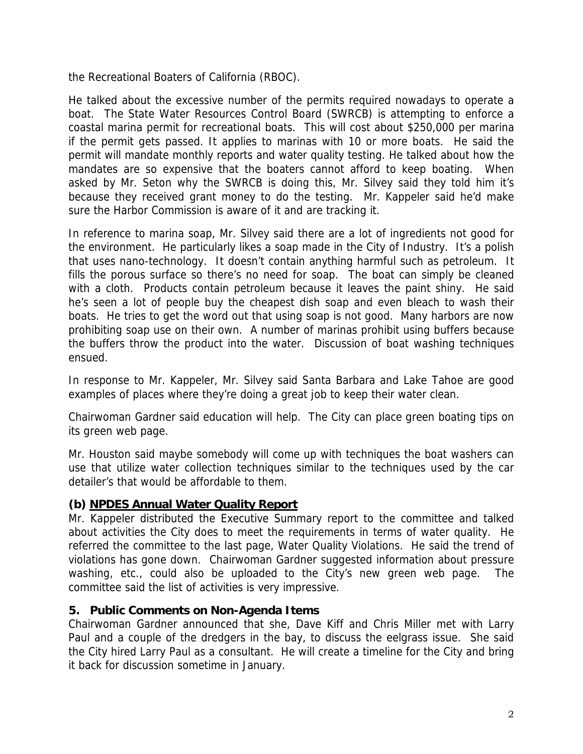the Recreational Boaters of California (RBOC).

He talked about the excessive number of the permits required nowadays to operate a boat. The State Water Resources Control Board (SWRCB) is attempting to enforce a coastal marina permit for recreational boats. This will cost about \$250,000 per marina if the permit gets passed. It applies to marinas with 10 or more boats. He said the permit will mandate monthly reports and water quality testing. He talked about how the mandates are so expensive that the boaters cannot afford to keep boating. When asked by Mr. Seton why the SWRCB is doing this, Mr. Silvey said they told him it's because they received grant money to do the testing. Mr. Kappeler said he'd make sure the Harbor Commission is aware of it and are tracking it.

In reference to marina soap, Mr. Silvey said there are a lot of ingredients not good for the environment. He particularly likes a soap made in the City of Industry. It's a polish that uses nano-technology. It doesn't contain anything harmful such as petroleum. It fills the porous surface so there's no need for soap. The boat can simply be cleaned with a cloth. Products contain petroleum because it leaves the paint shiny. He said he's seen a lot of people buy the cheapest dish soap and even bleach to wash their boats. He tries to get the word out that using soap is not good. Many harbors are now prohibiting soap use on their own. A number of marinas prohibit using buffers because the buffers throw the product into the water. Discussion of boat washing techniques ensued.

In response to Mr. Kappeler, Mr. Silvey said Santa Barbara and Lake Tahoe are good examples of places where they're doing a great job to keep their water clean.

Chairwoman Gardner said education will help. The City can place green boating tips on its green web page.

Mr. Houston said maybe somebody will come up with techniques the boat washers can use that utilize water collection techniques similar to the techniques used by the car detailer's that would be affordable to them.

## **(b) NPDES Annual Water Quality Report**

Mr. Kappeler distributed the Executive Summary report to the committee and talked about activities the City does to meet the requirements in terms of water quality. He referred the committee to the last page, Water Quality Violations. He said the trend of violations has gone down. Chairwoman Gardner suggested information about pressure washing, etc., could also be uploaded to the City's new green web page. The committee said the list of activities is very impressive.

## **5. Public Comments on Non-Agenda Items**

Chairwoman Gardner announced that she, Dave Kiff and Chris Miller met with Larry Paul and a couple of the dredgers in the bay, to discuss the eelgrass issue. She said the City hired Larry Paul as a consultant. He will create a timeline for the City and bring it back for discussion sometime in January.